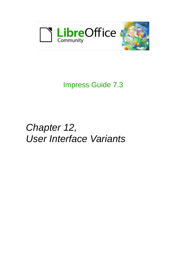

# Impress Guide 7.3

# *Chapter 12, User Interface Variants*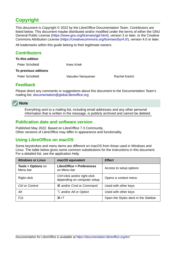# <span id="page-1-4"></span>**Copyright**

This document is Copyright © 2022 by the LibreOffice Documentation Team. Contributors are listed below. This document maybe distributed and/or modified under the terms of either the GNU General Public License (<https://www.gnu.org/licenses/gpl.html>), version 3 or later, or the Creative Commons Attribution License (<https://creativecommons.org/licenses/by/4.0/>), version 4.0 or later.

All trademarks within this guide belong to their legitimate owners.

### <span id="page-1-3"></span>**Contributors**

| To this edition      |                   |                      |
|----------------------|-------------------|----------------------|
| Peter Schofield      | Kees Kriek        |                      |
| To previous editions |                   |                      |
| Peter Schofield      | Vasudev Narayanan | <b>Rachel Kartch</b> |
|                      |                   |                      |

### <span id="page-1-2"></span>**Feedback**

Please direct any comments or suggestions about this document to the Documentation Team's mailing list: [documentation@global.libreoffice.org](mailto:documentation@global.libreoffice.org)

## **Note**

Everything sent to a mailing list, including email addresses and any other personal information that is written in the message, is publicly archived and cannot be deleted.

## <span id="page-1-1"></span>**Publication date and software version**

Published May 2022. Based on LibreOffice 7.3 Community. Other versions of LibreOffice may differ in appearance and functionality.

## <span id="page-1-0"></span>**Using LibreOffice on macOS**

Some keystrokes and menu items are different on macOS from those used in Windows and Linux. The table below gives some common substitutions for the instructions in this document. For a detailed list, see the application Help.

| <b>Windows or Linux</b>                  | macOS equivalent                                             | <b>Effect</b>                       |
|------------------------------------------|--------------------------------------------------------------|-------------------------------------|
| <b>Tools &gt; Options on</b><br>Menu bar | <b>LibreOffice &gt; Preferences</b><br>on Menu bar           | Access to setup options             |
| Right-click                              | Ctrl+click and/or right-click<br>depending on computer setup | Opens a context menu                |
| Ctrl or Control                          | <b>\\$</b> and/or Cmd or Command                             | Used with other keys                |
| Alt                                      | <b>∠</b> and/or Alt or Option                                | Used with other keys                |
| F <sub>11</sub>                          | $\mathcal{H}+T$                                              | Open the Styles deck in the Sidebar |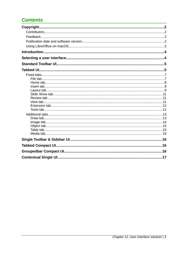# **Contents**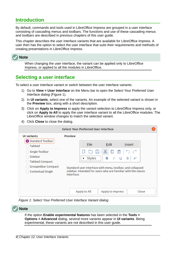## <span id="page-3-1"></span>**Introduction**

By default, commands and tools used in LibreOffice Impress are grouped in a user interface consisting of cascading menus and toolbars. The functions and use of these cascading menus and toolbars are described in previous chapters of this user guide.

This chapter describes the user interface variants that are available for LibreOffice Impress. A user then has the option to select the user interface that suits their requirements and methods of creating presentations in LibreOffice Impress.



When changing the user interface, the variant can be applied only to LibreOffice Impress, or applied to all the modules in LibreOffice.

# <span id="page-3-0"></span>**Selecting a user interface**

To select a user interface variant or switch between the user interface variants:

- 1) Go to **View > User Interface** on the Menu bar to open the Select Your Preferred User Interface dialog (Figure [1](#page-3-2)).
- 2) In **UI variants**, select one of the variants. An example of the selected variant is shown in the **Preview** box, along with a short description.
- 3) Click on **Apply to Impress** to apply the variant selection to LibreOffice Impress only, or click on **Apply to All** to apply the user interface variant to all the LibreOffice modules. The LibreOffice window changes to match the selected variant.
- 4) Click **Close** to close the dialog.

|                                                |                | <b>Select Your Preferred User Interface</b> |                     |                                                                                                                            |
|------------------------------------------------|----------------|---------------------------------------------|---------------------|----------------------------------------------------------------------------------------------------------------------------|
| <b>UI variants</b>                             | <b>Preview</b> |                                             |                     |                                                                                                                            |
| Standard Toolbar<br><b>Tabbed</b>              |                | <b>File</b>                                 | Edit                | Insert                                                                                                                     |
| Single Toolbar                                 |                | a a<br>L7                                   |                     | ※ D 目   つ づ                                                                                                                |
| Sidebar<br><b>Tabbed Compact</b>               |                | Styles<br>v                                 | В<br>$\overline{I}$ | $U_S$<br>$X^2$                                                                                                             |
| <b>Groupedbar Compact</b><br>Contextual Single | interface.     |                                             |                     | Standard user interface with menu, toolbar, and collapsed<br>sidebar. Intended for users who are familiar with the classic |
|                                                |                | Apply to All                                | Apply to Impress    | Close                                                                                                                      |

<span id="page-3-2"></span>*Figure 1: Select Your Preferred User Interface Variant dialog*

| $\vee$ Note |                                                                                                                                                                                                                                           |
|-------------|-------------------------------------------------------------------------------------------------------------------------------------------------------------------------------------------------------------------------------------------|
|             | If the option <b>Enable experimental features</b> has been selected in the Tools ><br>Options > Advanced dialog, several more variants appear in UI variants. Being<br>experimental, these variants are not described in this user guide. |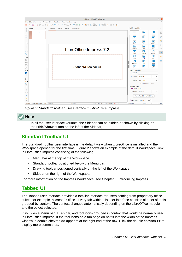

*Figure 2: Standard Toolbar user interface in LibreOffice Impress*

## **Note**

<span id="page-4-2"></span>In all the user interface variants, the Sidebar can be hidden or shown by clicking on the **Hide/Show** button on the left of the Sidebar,

# <span id="page-4-1"></span>**Standard Toolbar UI**

The Standard Toolbar user interface is the default view when LibreOffice is installed and the Workspace opened for the first time. Figure [2](#page-4-2) shows an example of the default Workspace view in LibreOffice Impress consisting of the following:

- Menu bar at the top of the Workspace.
- Standard toolbar positioned below the Menu bar.
- Drawing toolbar positioned vertically on the left of the Workspace.
- Sidebar on the right of the Workspace.

For more information on the Impress Workspace, see Chapter 1, Introducing Impress.

## <span id="page-4-0"></span>**Tabbed UI**

The Tabbed user interface provides a familiar interface for users coming from proprietary office suites, for example, Microsoft Office. Every tab within this user interface consists of a set of tools grouped by context. The context changes automatically depending on the LibreOffice module and the object selected.

It includes a Menu bar, a Tab bar, and tool icons grouped in context that would be normally used in LibreOffice Impress. If the tool icons on a tab page do not fit into the width of the Impress window, a double chevron **>>** appears at the right end of the row. Click the double chevron **>>** to display more commands.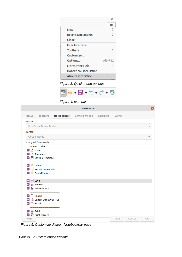

*Figure 3: Quick menu options*

<span id="page-5-2"></span><span id="page-5-1"></span>

*Figure 4: Icon bar*

|                                              |                            |             | <b>Customize</b>     |          |                 |    |
|----------------------------------------------|----------------------------|-------------|----------------------|----------|-----------------|----|
| <b>Menus</b>                                 | <b>Toolbars</b>            | Notebookbar | <b>Context Menus</b> | Keyboard | <b>Events</b>   |    |
| Scope                                        |                            |             |                      |          |                 |    |
|                                              | LibreOffice Draw - Tabbed  |             |                      |          |                 |    |
| Target                                       |                            |             |                      |          |                 |    |
| All Commands                                 |                            |             |                      |          |                 |    |
|                                              | Assigned Commands          |             |                      |          |                 |    |
|                                              | File Tab   File            |             |                      |          |                 |    |
| $\bigcap$ New<br>$\vert \check{~} \rangle$   |                            |             |                      |          |                 |    |
|                                              | $\nabla$ $\Box$ Templates  |             |                      |          |                 |    |
|                                              | Save as Template           |             |                      |          |                 |    |
| <b>D</b> Open<br>$\blacktriangleright$       |                            |             |                      |          |                 |    |
| ☑                                            | <b>E</b> Recent Documents  |             |                      |          |                 |    |
|                                              | Open Remote                |             |                      |          |                 |    |
|                                              |                            |             |                      |          |                 |    |
| $\Box$ Save<br>⊵                             |                            |             |                      |          |                 |    |
| $\vert \check{~} \rangle$                    | B Save As                  |             |                      |          |                 |    |
| $\vert \vee \vert$                           | <b>H</b> Save Remote       |             |                      |          |                 |    |
| $\triangledown$ $\Box$ Export                |                            |             |                      |          |                 |    |
|                                              | ▽ D Export Directly as PDF |             |                      |          |                 |    |
| $\boxdot$ Email<br>$\vert \check{~} \rangle$ |                            |             |                      |          |                 |    |
|                                              |                            |             |                      |          |                 |    |
| $\triangledown$ $\bigoplus$ Print            |                            |             |                      |          |                 |    |
|                                              | Print Directly             |             |                      |          |                 |    |
| Help                                         |                            |             |                      |          | Cancel<br>Reset | OK |

<span id="page-5-0"></span>*Figure 5: Customize dialog - Notebookbar page*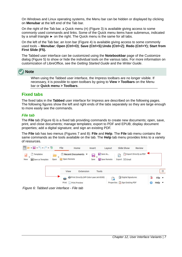On Windows and Linux operating systems, the Menu bar can be hidden or displayed by clicking on **Menubar** at the left end of the Tab bar.

On the right of the Tab bar, a Quick menu  $(\equiv)$  (Figure [3\)](#page-5-2) is available giving access to some commonly used commands and links. Some of the Quick menu items have submenus, indicated by a small triangle ► on the right. The Quick menu is the same for all tabs.

On the left of the Tab bar, an Icon bar (Figure [4](#page-5-1)) is available giving access to some commonly used tools – **Menubar**; **Open (Ctrl+O)**; **Save (Ctrl+S)**;**Undo (Ctrl+Z)**; **Redo (Ctrl+Y); Start from First Slide (F5).**

The Tabbed user interface can be customized using the **Notebookbar** page of the Customize dialog (Figure [5](#page-5-0)) to show or hide the individual tools on the various tabs. For more information on customization of LibreOffice, see the *Getting Started Guide* and the *Writer Guide*.

# **Note**

When using the Tabbed user interface, the Impress toolbars are no longer visible. If necessary, it is possible to open toolbars by going to **View > Toolbars** on the Menu bar or **Quick menu > Toolbars**.

## <span id="page-6-1"></span>**Fixed tabs**

The fixed tabs in the **Tabbed** user interface for Impress are described on the following pages. The following figures show the left and right ends of the tabs separately so they are large enough to more easily see the commands.

#### <span id="page-6-0"></span>*File tab*

The **File** tab (Figure [6](#page-6-2)) is a fixed tab providing commands to create new documents; open, save, print, and close documents; manage templates; export to PDF and EPUB; display document properties; add a digital signature; and sign an existing PDF.

The **File** tab has two menus (Figures [7](#page-7-2) and [8](#page-7-1)): **File** and **Help**. The **File** tab menu contains the same commands as the tools available on the tab. The **Help** tab menu provides links to a variety of resources.

<span id="page-6-2"></span>

*Figure 6: Tabbed user interface - File tab*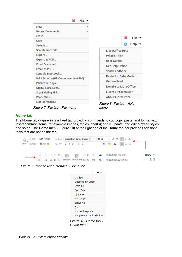

<span id="page-7-2"></span><span id="page-7-0"></span>*Home tab*

The **Home** tab (Figure [9](#page-7-4)) is a fixed tab providing commands to cut, copy, paste, and format text; insert common items (for example images, tables, charts); apply, update, and edit drawing styles; and so on. The **Home** menu (Figure [10\)](#page-7-3) at the right end of the **Home** tab bar provides additional tools that are not on the tab.

<span id="page-7-4"></span>

*Figure 9: Tabbed user interface - Home tab*

<span id="page-7-3"></span><span id="page-7-1"></span>

|                                    | Home |
|------------------------------------|------|
| Shadow                             |      |
| <b>Outline Font Effect</b>         |      |
| Overline                           |      |
| <b>Cycle Case</b>                  |      |
| Character                          |      |
| Paragraph                          |      |
| <b>Select All</b>                  |      |
| Find                               |      |
| Find and Replace                   |      |
| Jump to Last Edited Slide          |      |
| Figure 10: Home tab -<br>Home menu |      |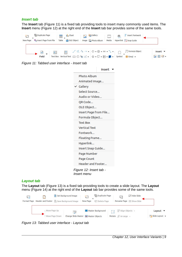#### <span id="page-8-1"></span>*Insert tab*

The **Insert** tab (Figure [11\)](#page-8-4) is a fixed tab providing tools to insert many commonly used items. The **Insert** menu (Figure [12\)](#page-8-3) at the right end of the **Insert** tab bar provides some of the same tools.

<span id="page-8-4"></span>

*Figure 11: Tabbed user interface - Insert tab*

|                          | Insert        |  |  |  |
|--------------------------|---------------|--|--|--|
| <b>Photo Album</b>       |               |  |  |  |
| Animated Image           |               |  |  |  |
| $\checkmark$ Gallery     |               |  |  |  |
|                          | Select Source |  |  |  |
| Audio or Video           |               |  |  |  |
| QR Code                  |               |  |  |  |
| OLE Object               |               |  |  |  |
| Insert Page from File    |               |  |  |  |
| Formula Object           |               |  |  |  |
| <b>Text Box</b>          |               |  |  |  |
| <b>Vertical Text</b>     |               |  |  |  |
| Fontwork                 |               |  |  |  |
| Floating Frame           |               |  |  |  |
| Hyperlink                |               |  |  |  |
| Insert Snap Guide        |               |  |  |  |
| Page Number              |               |  |  |  |
| <b>Page Count</b>        |               |  |  |  |
| <b>Header and Footer</b> |               |  |  |  |
| Figure 12: Insert tab -  |               |  |  |  |

<span id="page-8-3"></span>*Insert menu*

#### <span id="page-8-0"></span>*Layout tab*

The **Layout** tab (Figure [13\)](#page-8-2) is a fixed tab providing tools to create a slide layout. The **Layout** menu (Figure [14\)](#page-9-0) at the right end of the **Layout** tab bar provides some of the same tools.



<span id="page-8-2"></span>*Figure 13: Tabbed user interface - Layout tab*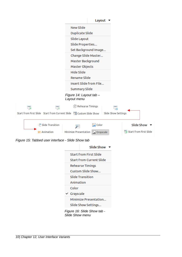|                                                                      | Layout                                    |                                  |
|----------------------------------------------------------------------|-------------------------------------------|----------------------------------|
|                                                                      | <b>New Slide</b>                          |                                  |
|                                                                      | Duplicate Slide                           |                                  |
|                                                                      | Slide Layout                              |                                  |
|                                                                      | Slide Properties                          |                                  |
|                                                                      | Set Background Image                      |                                  |
|                                                                      | Change Slide Master                       |                                  |
|                                                                      | Master Background                         |                                  |
|                                                                      | Master Objects                            |                                  |
|                                                                      | <b>Hide Slide</b>                         |                                  |
|                                                                      | <b>Rename Slide</b>                       |                                  |
|                                                                      | Insert Slide from File                    |                                  |
|                                                                      | <b>Summary Slide</b>                      |                                  |
|                                                                      | Figure 14: Layout tab -                   |                                  |
|                                                                      | Layout menu                               |                                  |
| 53                                                                   | Rehearse Timings                          |                                  |
| Start from First Slide Start from Current Slide En Custom Slide Show | Slide Show Settings                       |                                  |
| Slide Transition                                                     | $\sim$ Color<br>y.                        | <b>Slide Show</b>                |
| Animation                                                            | Minimize Presentation<br><b>Crayscale</b> | <b>Co</b> Start from First Slide |
| Figure 15: Tabbed user interface - Slide Show tab                    |                                           |                                  |
|                                                                      | <b>Slide Show</b>                         |                                  |
|                                                                      | <b>Start from First Slide</b>             |                                  |
|                                                                      | <b>Start from Current Slide</b>           |                                  |
|                                                                      | Rehearse Timings                          |                                  |
|                                                                      | Custom Slide Show                         |                                  |
|                                                                      | <b>Slide Transition</b>                   |                                  |

*Figure 16: Slide Show tab -* 

<span id="page-9-1"></span>Slide Show Settings...

Minimize Presentation...

*Slide Show menu*

<span id="page-9-2"></span><span id="page-9-0"></span>Animation

Color  $\checkmark$  Grayscale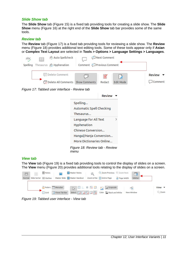#### <span id="page-10-0"></span>*Slide Show tab*

The **Slide Show** tab (Figure [15](#page-9-2)) is a fixed tab providing tools for creating a slide show. The **Slide Show** menu (Figure [16](#page-9-1)) at the right end of the **Slide Show** tab bar provides some of the same tools.

#### <span id="page-10-2"></span>*Review tab*

The **Review** tab (Figure [17](#page-10-5)) is a fixed tab providing tools for reviewing a slide show. The **Review** menu (Figure [18\)](#page-10-4) provides additional text editing tools. Some of these tools appear only if **Asian** or **Complex Text Layout** are selected in **Tools > Options > Language Settings > Languages**.

| abç      | ab Auto Spellcheck                | Next Comment    |           |                 |
|----------|-----------------------------------|-----------------|-----------|-----------------|
| Spelling | Thesaurus ab Hyphenation          | Comment Comment |           |                 |
|          | Delete Comment                    |                 |           | Review <b>v</b> |
|          | Delete All Comments Show Comments | Redact          | Edit Mode | $\Box$ Comment  |

<span id="page-10-5"></span>*Figure 17: Tabbed user interface - Review tab*

<span id="page-10-4"></span>

|                                        | Review |  |  |
|----------------------------------------|--------|--|--|
| Spelling                               |        |  |  |
| Automatic Spell Checking               |        |  |  |
| Thesaurus                              |        |  |  |
| Language for All Text<br>>             |        |  |  |
| Hyphenation                            |        |  |  |
| <b>Chinese Conversion</b>              |        |  |  |
| Hangul/Hanja Conversion                |        |  |  |
| More Dictionaries Online               |        |  |  |
| Figure 18: Review tab - Review<br>тепи |        |  |  |

#### <span id="page-10-1"></span>*View tab*

The **View** tab (Figure [19](#page-10-3)) is a fixed tab providing tools to control the display of slides on a screen. The **View** menu (Figure [20\)](#page-11-2) provides additional tools relating to the display of slides on a screen.

<span id="page-10-3"></span>

*Figure 19: Tabbed user interface - View tab*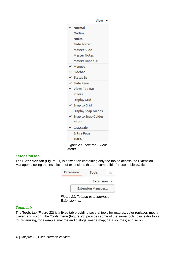|   |                            | <b>View</b>             |
|---|----------------------------|-------------------------|
|   | Normal                     |                         |
|   | Outline                    |                         |
|   | <b>Notes</b>               |                         |
|   | Slide Sorter               |                         |
|   | Master Slide               |                         |
|   | <b>Master Notes</b>        |                         |
|   | <b>Master Handout</b>      |                         |
|   | $\checkmark$ Menubar       |                         |
|   | $\checkmark$ Sidebar       |                         |
|   | $\checkmark$ Status Bar    |                         |
|   | $\vee$ Slide Pane          |                         |
|   | $\checkmark$ Views Tab Bar |                         |
|   | <b>Rulers</b>              |                         |
|   | <b>Display Grid</b>        |                         |
|   | $\times$ Snap to Grid      |                         |
|   | <b>Display Snap Guides</b> |                         |
| ✓ | <b>Snap to Snap Guides</b> |                         |
|   | Color                      |                         |
|   | $\checkmark$ Grayscale     |                         |
|   | <b>Entire Page</b>         |                         |
|   | 100%                       |                         |
|   | Eiguro 20: Viow tah -      | $\overline{\mathrm{V}}$ |

<span id="page-11-2"></span>*Figure 20: View tab - View menu*

#### <span id="page-11-1"></span>*Extension tab*

The **Extension** tab (Figure [21](#page-11-3)) is a fixed tab containing only the tool to access the Extension Manager allowing the installation of extensions that are compatible for use in LibreOffice.

| Extension | Tools             |  |
|-----------|-------------------|--|
|           | Extension         |  |
|           | Extension Manager |  |

<span id="page-11-3"></span>*Figure 21: Tabbed user interface - Extension tab*

#### <span id="page-11-0"></span>*Tools tab*

The **Tools** tab (Figure [22](#page-12-3)) is a fixed tab providing several tools for macros; color replacer; media player; and so on. The **Tools** menu (Figure [23\)](#page-12-2) provides some of the same tools, plus extra tools for organizing, for example, macros and dialogs; image map; data sources; and so on.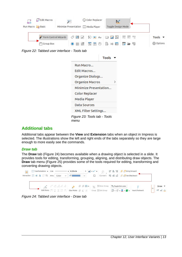

<span id="page-12-3"></span>

|                              | Tools |
|------------------------------|-------|
| Run Macro                    |       |
| Edit Macros                  |       |
| Organize Dialogs             |       |
| <b>Organize Macros</b>       | ↘     |
| Minimize Presentation        |       |
| Color Replacer               |       |
| Media Player                 |       |
| <b>Data Sources</b>          |       |
| XML Filter Settings          |       |
| Figure 23: Tools tab - Tools |       |

## <span id="page-12-1"></span>**Additional tabs**

Additional tabs appear between the **View** and **Extension** tabs when an object in Impress is selected. The illustrations show the left and right ends of the tabs separately so they are large enough to more easily see the commands.

<span id="page-12-2"></span>*menu*

#### <span id="page-12-0"></span>*Draw tab*

The **Draw** tab (Figure [24](#page-12-4)) becomes available when a drawing object is selected in a slide. It provides tools for editing, transforming, grouping, aligning, and distributing draw objects. The **Draw** tab menu (Figure [25](#page-13-1)) provides some of the tools required for editing, transforming and converting drawing objects.

<span id="page-12-4"></span>

*Figure 24: Tabbed user interface - Draw tab*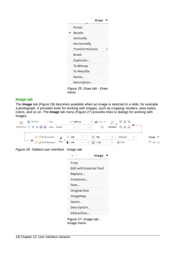|      |                            | Draw |   |
|------|----------------------------|------|---|
|      | <b>Points</b>              |      |   |
|      | $\times$ Rotate            |      |   |
|      | <b>Vertically</b>          |      |   |
|      | Horizontally               |      |   |
|      | <b>Transformations</b>     |      | ↘ |
|      | Break                      |      |   |
|      | Duplicate                  |      |   |
|      | <b>To Bitmap</b>           |      |   |
|      | To Metafile                |      |   |
|      | Name                       |      |   |
|      | Description                |      |   |
| menu | Figure 25: Draw tab - Draw |      |   |

#### <span id="page-13-1"></span><span id="page-13-0"></span>*Image tab*

The **Image** tab (Figure [26](#page-13-3)) becomes available when an image is selected in a slide, for example a photograph. It provides tools for working with images, such as cropping, borders, area styles, colors, and so on. The **Image** tab menu (Figure [27\)](#page-13-2) provides links to dialogs for working with images.

<span id="page-13-3"></span>

*Figure 26: Tabbed user interface - Image tab*

<span id="page-13-2"></span>

|                                      | Image |
|--------------------------------------|-------|
| Crop                                 |       |
| <b>Edit with External Tool</b>       |       |
| Replace                              |       |
| Compress                             |       |
| Save                                 |       |
| Original Size                        |       |
| ImageMap                             |       |
| Name                                 |       |
| Description                          |       |
| Interaction                          |       |
| Figure 27: Image tab -<br>Image menu |       |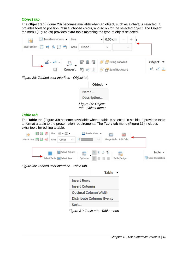#### <span id="page-14-1"></span>*Object tab*

The **Object** tab (Figure [28\)](#page-14-5) becomes available when an object, such as a chart, is selected. It provides tools to position, resize, choose colors, and so on for the selected object. The **Object** tab menu (Figure [29](#page-14-4)) provides extra tools matching the type of object selected.



*Figure 28: Tabbed user interface - Object tab*



<span id="page-14-4"></span>*tab - Object menu*

#### <span id="page-14-5"></span><span id="page-14-0"></span>*Table tab*

The **Table** tab (Figure [30](#page-14-3)) becomes available when a table is selected in a slide. It provides tools to format a table to the presentation requirements. The **Table** tab menu (Figure [31\)](#page-14-2) includes extra tools for editing a table.

<span id="page-14-3"></span>

**Distribute Columns Evenly** 

<span id="page-14-2"></span>Sort...

*Figure 31: Table tab - Table menu*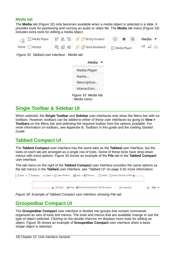#### <span id="page-15-3"></span>*Media tab*

The **Media** tab (Figure [32\)](#page-15-6) only becomes available when a media object is selected in a slide. It provides tools for positioning and running an audio or video file. The **Media** tab menu (Figure [33](#page-15-5)) includes extra tools for editing a media object.

<span id="page-15-6"></span>

*Figure 32: Tabbed user interface - Media tab*

<span id="page-15-5"></span>

|              | Media                |  |
|--------------|----------------------|--|
|              | Media Player         |  |
| Name         |                      |  |
|              | Description          |  |
|              | Interaction          |  |
| - Media menu | Figure 33: Media tab |  |

## <span id="page-15-2"></span>**Single Toolbar & Sidebar UI**

When selected, the **Single Toolbar** and **Sidebar** user interfaces only show the Menu bar with no toolbars. However, toolbars can be added to either of these user interfaces by going to **View > Toolbars** on the Menu bar and selecting the required toolbar from the options available. For more information on toolbars, see Appendix B, Toolbars in this guide and the *Getting Started Guide*.

## <span id="page-15-1"></span>**Tabbed Compact UI**

The **Tabbed Compact** user interface has the same tabs as the **Tabbed** user interface, but the tools on each tab are arranged as a single row of tools. Some of these tools have drop-down menus with extra options. Figure [34](#page-15-4) shows an example of the **File** tab in the **Tabbed Compact** user interface.

The tab menu on the right of the **Tabbed Compact** user interface provides the same options as the tab menus in the **Tabbed** user interface, see ["Tabbed UI"](#page-4-0) on page [5](#page-4-0) for more information.



*Figure 34: Example of Tabbed Compact user interface showing File tab*

## <span id="page-15-4"></span><span id="page-15-0"></span>**Groupedbar Compact UI**

The **Groupedbar Compact** user interface is divided into groups that contain commands organized as sets of tools and menus. The tools and menus that are available change to suit the type of object selected. Clicking on the double chevron **>>** displays more tools for editing an object. Figure [35](#page-16-1) shows an example of **Groupedbar Compact** user interface when a basic shape object is selected.